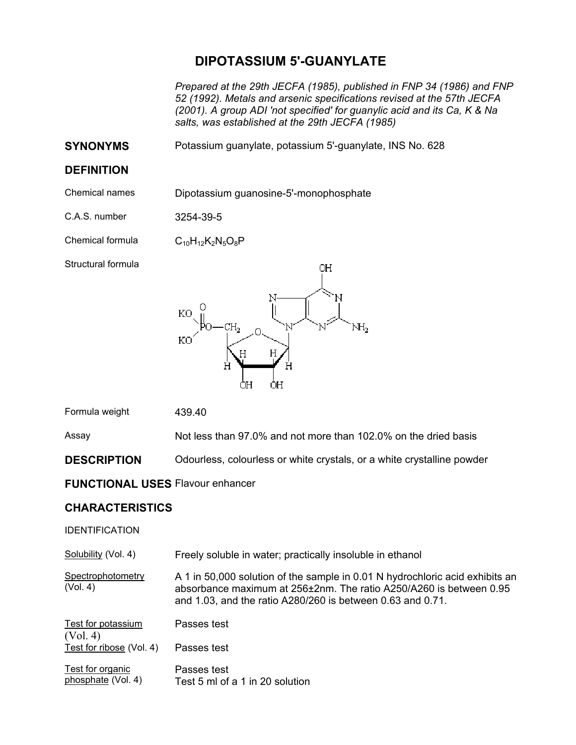# **DIPOTASSIUM 5'-GUANYLATE**

*Prepared at the 29th JECFA (1985), published in FNP 34 (1986) and FNP 52 (1992). Metals and arsenic specifications revised at the 57th JECFA (2001). A group ADI 'not specified' for guanylic acid and its Ca, K & Na salts, was established at the 29th JECFA (1985)* 

**SYNONYMS** Potassium guanylate, potassium 5'-guanylate, INS No. 628

### **DEFINITION**

Chemical names Dipotassium guanosine-5'-monophosphate

C.A.S. number 3254-39-5

Chemical formula  $C_{10}H_{12}K_2N_5O_8P$ 

Structural formula



Formula weight 439.40

Assay Not less than 97.0% and not more than 102.0% on the dried basis

**DESCRIPTION** Odourless, colourless or white crystals, or a white crystalline powder

### **FUNCTIONAL USES** Flavour enhancer

## **CHARACTERISTICS**

#### IDENTIFICATION

| Solubility (Vol. 4)                    | Freely soluble in water; practically insoluble in ethanol                                                                                                                                                        |
|----------------------------------------|------------------------------------------------------------------------------------------------------------------------------------------------------------------------------------------------------------------|
| Spectrophotometry<br>(Vol. 4)          | A 1 in 50,000 solution of the sample in 0.01 N hydrochloric acid exhibits an<br>absorbance maximum at 256±2nm. The ratio A250/A260 is between 0.95<br>and 1.03, and the ratio A280/260 is between 0.63 and 0.71. |
| Test for potassium<br>(Vol. 4)         | Passes test                                                                                                                                                                                                      |
| Test for ribose (Vol. 4)               | Passes test                                                                                                                                                                                                      |
| Test for organic<br>phosphate (Vol. 4) | Passes test<br>Test 5 ml of a 1 in 20 solution                                                                                                                                                                   |